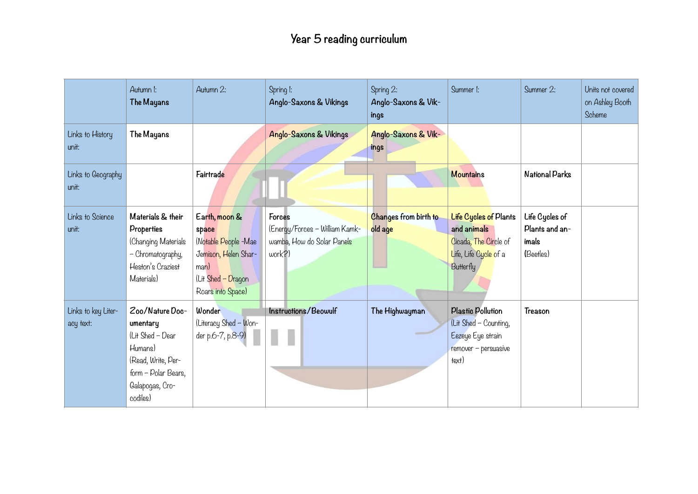|                                  | Autumn I:<br>The Mayans                                                                                                                | Autumn 2:                                                                                                                 | Spring I:<br>Anglo-Saxons & Vikings                                                | Spring 2:<br>Anglo-Saxons & Vik-<br>ings | Summer I:                                                                                                         | Summer 2:                                              | Units not covered<br>on Ashley Booth<br>Scheme |
|----------------------------------|----------------------------------------------------------------------------------------------------------------------------------------|---------------------------------------------------------------------------------------------------------------------------|------------------------------------------------------------------------------------|------------------------------------------|-------------------------------------------------------------------------------------------------------------------|--------------------------------------------------------|------------------------------------------------|
| Links to History<br>unit:        | The Mayans                                                                                                                             |                                                                                                                           | Anglo-Saxons & Vikings                                                             | Anglo-Saxons & Vik-<br>ings              |                                                                                                                   |                                                        |                                                |
| Links to Geography<br>unit:      |                                                                                                                                        | Fairtrade                                                                                                                 |                                                                                    |                                          | <b>Mountains</b>                                                                                                  | National Parks                                         |                                                |
| Links to Science<br>unit:        | Materials & their<br><b>Properties</b><br>(Changing Materials<br>- Chromatography,<br>Heston's Craziest<br>Materials)                  | Earth, moon &<br>space<br>(Notable People -Mae<br>Jemison, Helen Shar-<br>man)<br>(Lit Shed - Dragon<br>Roars into Space) | Forces<br>(Energy/Forces - William Kamk-<br>wamba, How do Solar Panels<br>$work$ ? | Changes from birth to<br>old age         | <b>Life Cycles of Plants</b><br>and animals<br>Cicada, The Circle of<br>Life, Life Cycle of a<br><b>Butterfly</b> | Life Cycles of<br>Plants and an-<br>imals<br>(Beetles) |                                                |
| Links to key Liter-<br>acy text: | Zoo/Nature Doc-<br>umentary<br>(Lit Shed - Dear<br>Humans)<br>(Read, Write, Per-<br>form - Polar Bears,<br>Galapogas, Cro-<br>codiles) | Wonder<br>(Literacy Shed - Won-<br>der p.6-7, p.8-9)                                                                      | Instructions/Beowulf                                                               | The Highwayman                           | <b>Plastic Pollution</b><br>(Lit Shed - Counting,<br>Eezeye Eye strain<br>remover - persuasive<br>text)           | Treason                                                |                                                |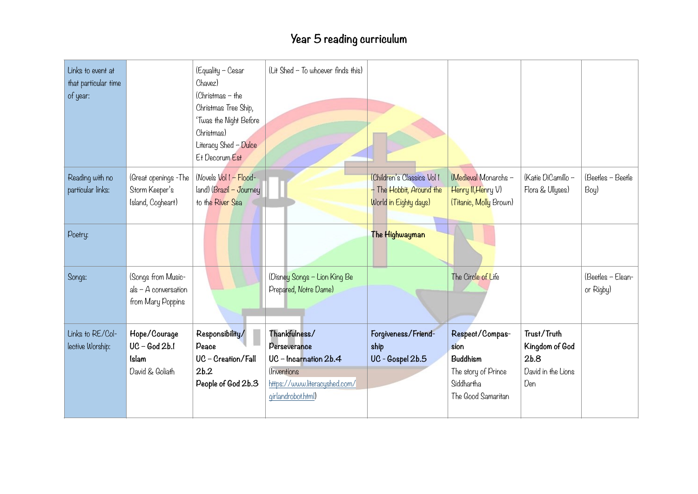## **Year 5 reading curriculum**

| Links to event at<br>that particular time<br>of year: |                                                                   | (Equality - Cesar<br>Chavez)<br>$(Christmas - the$<br>Christmas Tree Ship,<br>'Twas the Night Before<br>Christmas)<br>Literacy Shed - Dulce<br>Et Decorum Est | (Lit Shed - To whoever finds this)                                                                                           |                                                                                 |                                                                                                |                                                                    |                                |
|-------------------------------------------------------|-------------------------------------------------------------------|---------------------------------------------------------------------------------------------------------------------------------------------------------------|------------------------------------------------------------------------------------------------------------------------------|---------------------------------------------------------------------------------|------------------------------------------------------------------------------------------------|--------------------------------------------------------------------|--------------------------------|
| Reading with no<br>particular links:                  | (Great openings -The<br>Storm Keeper's<br>Island, Cogheart)       | (Novels Vol 1 - Flood-<br>land) (Brazil - Journey<br>to the River Sea                                                                                         |                                                                                                                              | (Children's Classics Vol 1<br>- The Hobbit, Around the<br>World in Eighty days) | (Medieval Monarchs -<br>Henry II, Henry V)<br>(Titanic, Molly Brown)                           | (Katie DiCamillo -<br>Flora & Ullyses)                             | (Beetles - Beetle<br>Boy)      |
| Poetry:                                               |                                                                   |                                                                                                                                                               |                                                                                                                              | The Highwayman                                                                  |                                                                                                |                                                                    |                                |
| Songs:                                                | (Songs from Music-<br>$als - A$ conversation<br>from Mary Poppins |                                                                                                                                                               | (Disney Songs - Lion King Be<br>Prepared, Notre Dame)                                                                        |                                                                                 | The Circle of Life                                                                             |                                                                    | (Beetles - Elean-<br>or Rigby) |
| Links to RE/Col-<br>lective Worship:                  | Hope/Courage<br>$UC - God 2b.1$<br>Islam<br>David & Goliath       | Responsibility/<br>Peace<br>UC - Creation/Fall<br>2b.2<br>People of God 2b.3                                                                                  | Thankfulness/<br>Perseverance<br>UC - Incarnation 2b.4<br>(Inventions<br>https://www.literacyshed.com/<br>qirlandrobot.html) | Forgiveness/Friend-<br>ship<br>UC - Gospel 2b.5                                 | Respect/Compas-<br>sion<br>Buddhism<br>The story of Prince<br>Siddhartha<br>The Good Samaritan | Trust/Truth<br>Kingdom of God<br>2b.8<br>David in the Lions<br>Den |                                |